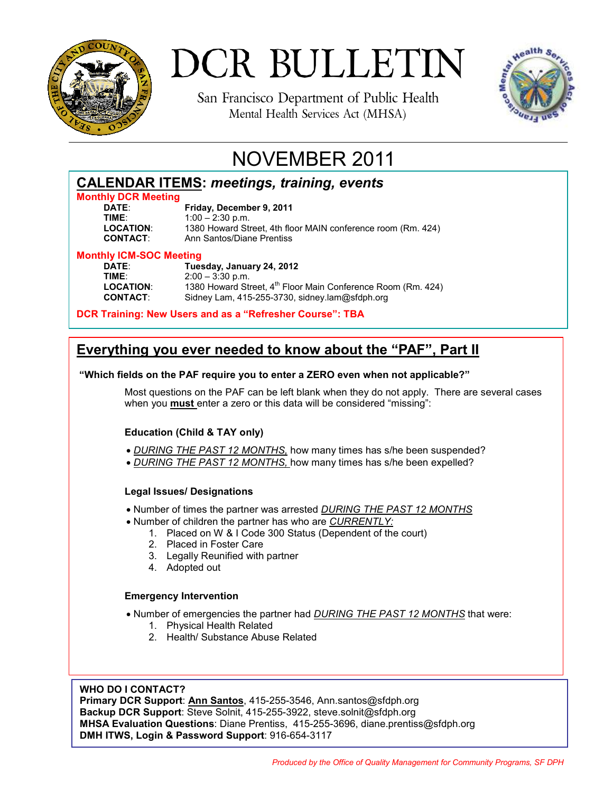

# DCR BULLETIN

San Francisco Department of Public Health Mental Health Services Act (MHSA)



# NOVEMBER 2011

| <b>CALENDAR ITEMS: meetings, training, events</b> |  |  |
|---------------------------------------------------|--|--|
|                                                   |  |  |

# **Monthly DCR Meeting**

**Friday, December 9, 2011 TIME:** 1:00 – 2:30 p.m.<br>**LOCATION:** 1380 Howard Str **LOCATION**: 1380 Howard Street, 4th floor MAIN conference room (Rm. 424) **Ann Santos/Diane Prentiss** 

# **Monthly ICM-SOC Meeting**

**DATE**: **Tuesday, January 24, 2012 TIME:** 2:00 – 3:30 p.m.<br>**LOCATION:** 1380 Howard Str LOCATION: 1380 Howard Street, 4<sup>th</sup> Floor Main Conference Room (Rm. 424)<br>**CONTACT:** Sidney Lam, 415-255-3730, sidney.lam@sfdph.org Sidney Lam, 415-255-3730, sidney.lam@sfdph.org

**DCR Training: New Users and as a "Refresher Course": TBA** 

# **Everything you ever needed to know about the "PAF", Part II**

### **"Which fields on the PAF require you to enter a ZERO even when not applicable?"**

Most questions on the PAF can be left blank when they do not apply. There are several cases when you **must** enter a zero or this data will be considered "missing":

## **Education (Child & TAY only)**

- *DURING THE PAST 12 MONTHS,* how many times has s/he been suspended?
- *DURING THE PAST 12 MONTHS,* how many times has s/he been expelled?

### **Legal Issues/ Designations**

- Number of times the partner was arrested *DURING THE PAST 12 MONTHS*
- Number of children the partner has who are *CURRENTLY:* 
	- 1. Placed on W & I Code 300 Status (Dependent of the court)
	- 2. Placed in Foster Care
	- 3. Legally Reunified with partner
	- 4. Adopted out

### **Emergency Intervention**

- Number of emergencies the partner had *DURING THE PAST 12 MONTHS* that were:
	- 1. Physical Health Related
	- 2. Health/ Substance Abuse Related

### **WHO DO I CONTACT?**

**Primary DCR Support**: **Ann Santos**, 415-255-3546, Ann.santos@sfdph.org **Backup DCR Support**: Steve Solnit, 415-255-3922, steve.solnit@sfdph.org **MHSA Evaluation Questions**: Diane Prentiss, 415-255-3696, diane.prentiss@sfdph.org **DMH ITWS, Login & Password Support**: 916-654-3117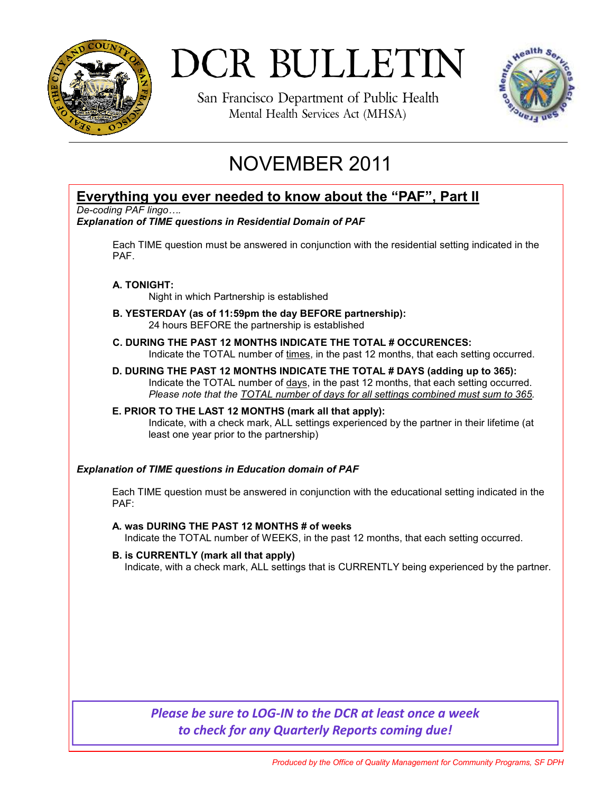

# DCR BULLETIN

San Francisco Department of Public Health Mental Health Services Act (MHSA)



# NOVEMBER 2011

## **Everything you ever needed to know about the "PAF", Part II**

*De-coding PAF lingo….* 

### *Explanation of TIME questions in Residential Domain of PAF*

Each TIME question must be answered in conjunction with the residential setting indicated in the PAF.

### **A. TONIGHT:**

Night in which Partnership is established

- **B. YESTERDAY (as of 11:59pm the day BEFORE partnership):** 24 hours BEFORE the partnership is established
- **C. DURING THE PAST 12 MONTHS INDICATE THE TOTAL # OCCURENCES:**  Indicate the TOTAL number of times, in the past 12 months, that each setting occurred.
- **D. DURING THE PAST 12 MONTHS INDICATE THE TOTAL # DAYS (adding up to 365):**  Indicate the TOTAL number of days, in the past 12 months, that each setting occurred. *Please note that the TOTAL number of days for all settings combined must sum to 365.*

### **E. PRIOR TO THE LAST 12 MONTHS (mark all that apply):**

 Indicate, with a check mark, ALL settings experienced by the partner in their lifetime (at least one year prior to the partnership)

### *Explanation of TIME questions in Education domain of PAF*

Each TIME question must be answered in conjunction with the educational setting indicated in the PAF:

**A. was DURING THE PAST 12 MONTHS # of weeks** Indicate the TOTAL number of WEEKS, in the past 12 months, that each setting occurred.

**B. is CURRENTLY (mark all that apply)**  Indicate, with a check mark, ALL settings that is CURRENTLY being experienced by the partner.

## *Please be sure to LOG-IN to the DCR at least once a week to check for any Quarterly Reports coming due!*